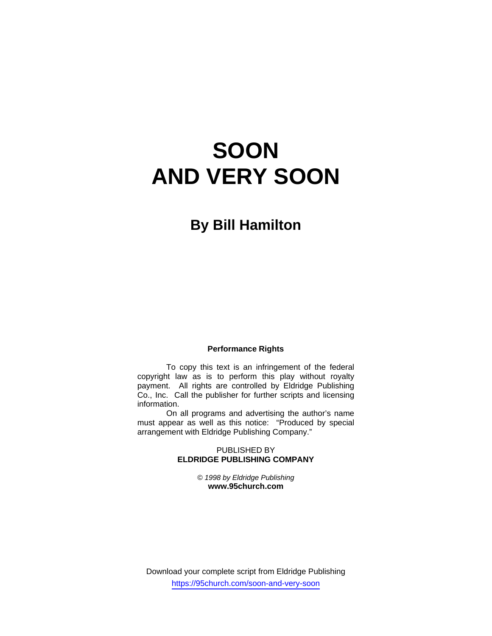# **SOON AND VERY SOON**

# **By Bill Hamilton**

#### **Performance Rights**

 To copy this text is an infringement of the federal copyright law as is to perform this play without royalty payment. All rights are controlled by Eldridge Publishing Co., Inc. Call the publisher for further scripts and licensing information.

 On all programs and advertising the author's name must appear as well as this notice: "Produced by special arrangement with Eldridge Publishing Company."

#### PUBLISHED BY **ELDRIDGE PUBLISHING COMPANY**

*© 1998 by Eldridge Publishing*  **www.95church.com** 

Download your complete script from Eldridge Publishing https://95church.com/soon-and-very-soon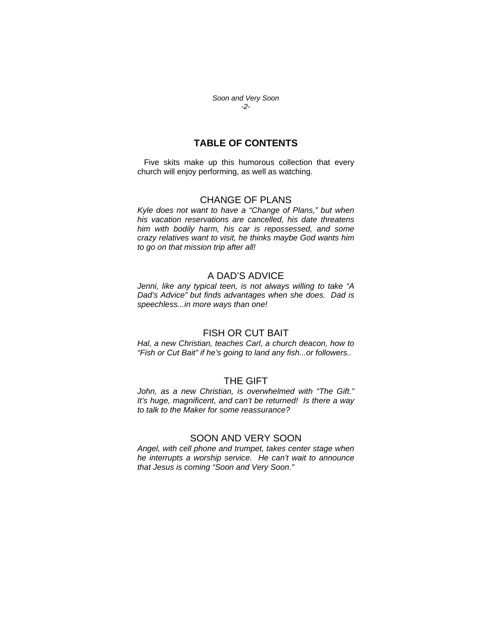*Soon and Very Soon -2-*

#### **TABLE OF CONTENTS**

 Five skits make up this humorous collection that every church will enjoy performing, as well as watching.

#### CHANGE OF PLANS

*Kyle does not want to have a "Change of Plans," but when his vacation reservations are cancelled, his date threatens him with bodily harm, his car is repossessed, and some crazy relatives want to visit, he thinks maybe God wants him to go on that mission trip after all!* 

#### A DAD'S ADVICE

*Jenni, like any typical teen, is not always willing to take "A Dad's Advice" but finds advantages when she does. Dad is speechless...in more ways than one!* 

#### FISH OR CUT BAIT

*Hal, a new Christian, teaches Carl, a church deacon, how to "Fish or Cut Bait" if he's going to land any fish...or followers..* 

## THE GIFT

*John, as a new Christian, is overwhelmed with "The Gift." It's huge, magnificent, and can't be returned! Is there a way to talk to the Maker for some reassurance?* 

#### SOON AND VERY SOON

*Angel, with cell phone and trumpet, takes center stage when he interrupts a worship service. He can't wait to announce that Jesus is coming "Soon and Very Soon."*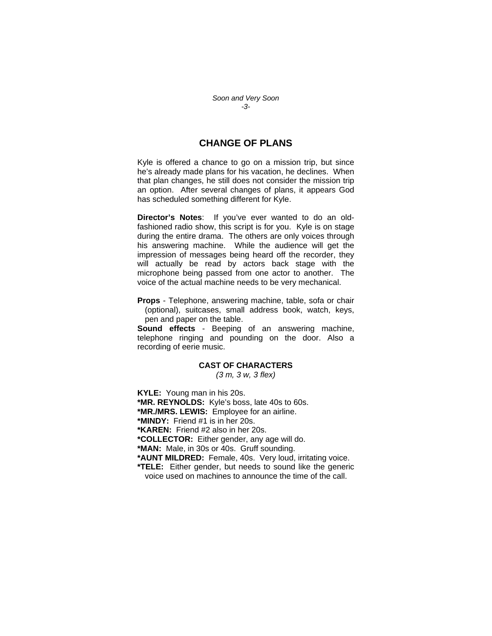*Soon and Very Soon -3-*

### **CHANGE OF PLANS**

Kyle is offered a chance to go on a mission trip, but since he's already made plans for his vacation, he declines. When that plan changes, he still does not consider the mission trip an option. After several changes of plans, it appears God has scheduled something different for Kyle.

**Director's Notes**: If you've ever wanted to do an oldfashioned radio show, this script is for you. Kyle is on stage during the entire drama. The others are only voices through his answering machine. While the audience will get the impression of messages being heard off the recorder, they will actually be read by actors back stage with the microphone being passed from one actor to another. The voice of the actual machine needs to be very mechanical.

**Props** - Telephone, answering machine, table, sofa or chair (optional), suitcases, small address book, watch, keys, pen and paper on the table.

**Sound effects** - Beeping of an answering machine, telephone ringing and pounding on the door. Also a recording of eerie music.

#### **CAST OF CHARACTERS**

*(3 m, 3 w, 3 flex)* 

**KYLE:** Young man in his 20s. **\*MR. REYNOLDS:** Kyle's boss, late 40s to 60s. **\*MR./MRS. LEWIS:** Employee for an airline. **\*MINDY:** Friend #1 is in her 20s. **\*KAREN:** Friend #2 also in her 20s. **\*COLLECTOR:** Either gender, any age will do. **\*MAN:** Male, in 30s or 40s. Gruff sounding. **\*AUNT MILDRED:** Female, 40s. Very loud, irritating voice. **\*TELE:** Either gender, but needs to sound like the generic voice used on machines to announce the time of the call.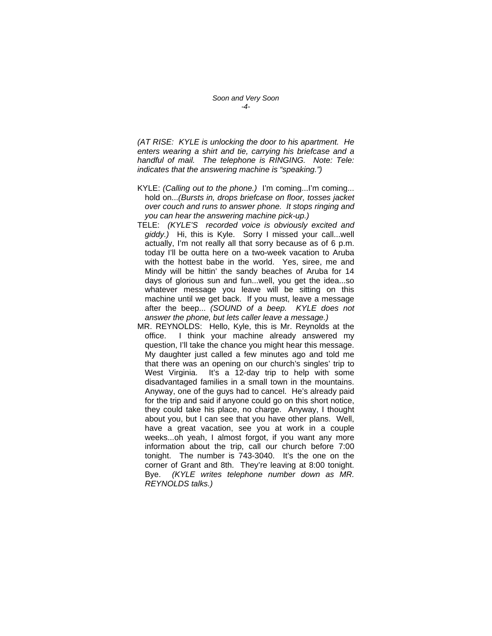*(AT RISE: KYLE is unlocking the door to his apartment. He enters wearing a shirt and tie, carrying his briefcase and a handful of mail. The telephone is RINGING. Note: Tele: indicates that the answering machine is "speaking.")* 

- KYLE: *(Calling out to the phone.)* I'm coming...I'm coming... hold on...*(Bursts in, drops briefcase on floor, tosses jacket over couch and runs to answer phone. It stops ringing and you can hear the answering machine pick-up.)*
- TELE: *(KYLE'S recorded voice is obviously excited and giddy.)* Hi, this is Kyle. Sorry I missed your call...well actually, I'm not really all that sorry because as of 6 p.m. today I'll be outta here on a two-week vacation to Aruba with the hottest babe in the world. Yes, siree, me and Mindy will be hittin' the sandy beaches of Aruba for 14 days of glorious sun and fun...well, you get the idea...so whatever message you leave will be sitting on this machine until we get back. If you must, leave a message after the beep... *(SOUND of a beep. KYLE does not answer the phone, but lets caller leave a message.)*
- MR. REYNOLDS: Hello, Kyle, this is Mr. Reynolds at the office. I think your machine already answered my question, I'll take the chance you might hear this message. My daughter just called a few minutes ago and told me that there was an opening on our church's singles' trip to West Virginia. It's a 12-day trip to help with some disadvantaged families in a small town in the mountains. Anyway, one of the guys had to cancel. He's already paid for the trip and said if anyone could go on this short notice, they could take his place, no charge. Anyway, I thought about you, but I can see that you have other plans. Well, have a great vacation, see you at work in a couple weeks...oh yeah, I almost forgot, if you want any more information about the trip, call our church before 7:00 tonight. The number is 743-3040. It's the one on the corner of Grant and 8th. They're leaving at 8:00 tonight. Bye. *(KYLE writes telephone number down as MR. REYNOLDS talks.)*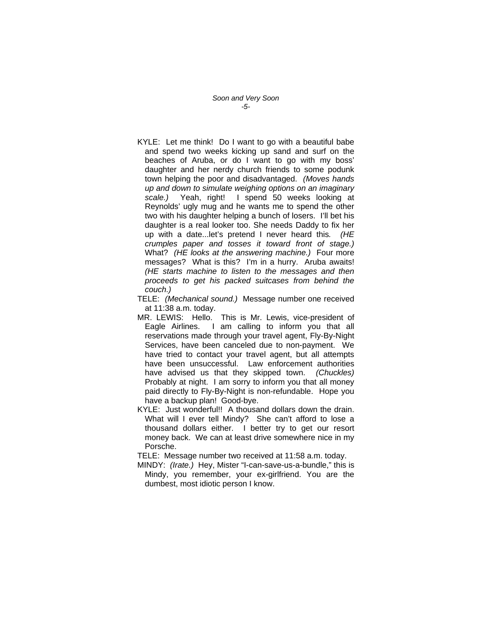*Soon and Very Soon -5-*

- KYLE: Let me think! Do I want to go with a beautiful babe and spend two weeks kicking up sand and surf on the beaches of Aruba, or do I want to go with my boss' daughter and her nerdy church friends to some podunk town helping the poor and disadvantaged. *(Moves hands up and down to simulate weighing options on an imaginary scale.)* Yeah, right! I spend 50 weeks looking at Reynolds' ugly mug and he wants me to spend the other two with his daughter helping a bunch of losers. I'll bet his daughter is a real looker too. She needs Daddy to fix her up with a date...let's pretend I never heard this*. (HE crumples paper and tosses it toward front of stage.)* What? *(HE looks at the answering machine.)* Four more messages? What is this? I'm in a hurry. Aruba awaits! *(HE starts machine to listen to the messages and then proceeds to get his packed suitcases from behind the couch.)*
- TELE: *(Mechanical sound.)* Message number one received at 11:38 a.m. today.
- MR. LEWIS: Hello. This is Mr. Lewis, vice-president of Eagle Airlines. I am calling to inform you that all reservations made through your travel agent, Fly-By-Night Services, have been canceled due to non-payment. We have tried to contact your travel agent, but all attempts have been unsuccessful. Law enforcement authorities have advised us that they skipped town. *(Chuckles)* Probably at night. I am sorry to inform you that all money paid directly to Fly-By-Night is non-refundable. Hope you have a backup plan! Good-bye.
- KYLE: Just wonderful!! A thousand dollars down the drain. What will I ever tell Mindy? She can't afford to lose a thousand dollars either. I better try to get our resort money back. We can at least drive somewhere nice in my Porsche.

TELE: Message number two received at 11:58 a.m. today.

MINDY: *(Irate.)* Hey, Mister "I-can-save-us-a-bundle," this is Mindy, you remember, your ex-girlfriend. You are the dumbest, most idiotic person I know.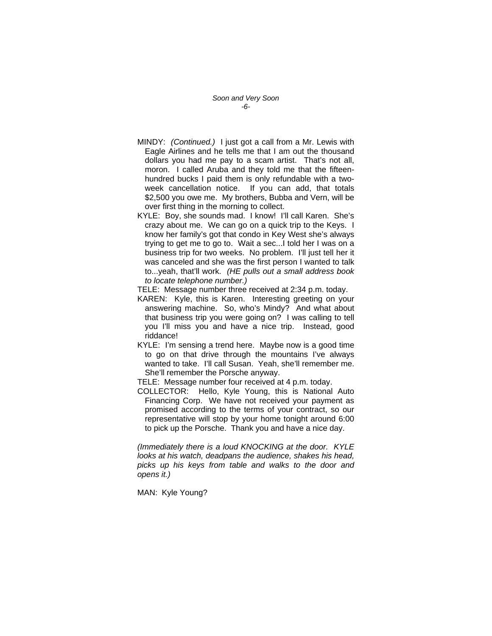*Soon and Very Soon -6-*

- MINDY: *(Continued.)* I just got a call from a Mr. Lewis with Eagle Airlines and he tells me that I am out the thousand dollars you had me pay to a scam artist. That's not all, moron. I called Aruba and they told me that the fifteenhundred bucks I paid them is only refundable with a twoweek cancellation notice. If you can add, that totals \$2,500 you owe me. My brothers, Bubba and Vern, will be over first thing in the morning to collect.
- KYLE: Boy, she sounds mad. I know! I'll call Karen. She's crazy about me. We can go on a quick trip to the Keys. I know her family's got that condo in Key West she's always trying to get me to go to. Wait a sec...I told her I was on a business trip for two weeks. No problem. I'll just tell her it was canceled and she was the first person I wanted to talk to...yeah, that'll work. *(HE pulls out a small address book to locate telephone number.)*
- TELE: Message number three received at 2:34 p.m. today.
- KAREN: Kyle, this is Karen. Interesting greeting on your answering machine. So, who's Mindy? And what about that business trip you were going on? I was calling to tell you I'll miss you and have a nice trip. Instead, good riddance!
- KYLE: I'm sensing a trend here. Maybe now is a good time to go on that drive through the mountains I've always wanted to take. I'll call Susan. Yeah, she'll remember me. She'll remember the Porsche anyway.
- TELE: Message number four received at 4 p.m. today.
- COLLECTOR: Hello, Kyle Young, this is National Auto Financing Corp. We have not received your payment as promised according to the terms of your contract, so our representative will stop by your home tonight around 6:00 to pick up the Porsche. Thank you and have a nice day.

*(Immediately there is a loud KNOCKING at the door. KYLE looks at his watch, deadpans the audience, shakes his head, picks up his keys from table and walks to the door and opens it.)* 

MAN: Kyle Young?